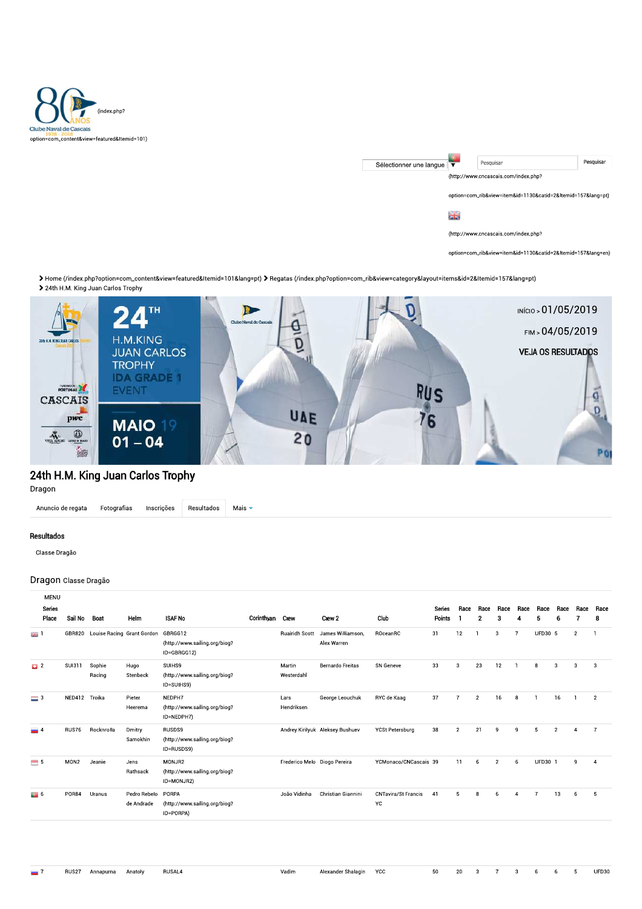

| Sélectionner une langue |                                                          | Pesquisar                                                | Pesquisar |  |  |  |  |  |
|-------------------------|----------------------------------------------------------|----------------------------------------------------------|-----------|--|--|--|--|--|
|                         |                                                          | (http://www.cncascais.com/index.php?                     |           |  |  |  |  |  |
|                         |                                                          |                                                          |           |  |  |  |  |  |
|                         | option=com_rib&view=item&id=1130&catid=2&Itemid=157⟨=pt) |                                                          |           |  |  |  |  |  |
|                         |                                                          |                                                          |           |  |  |  |  |  |
|                         | zis                                                      |                                                          |           |  |  |  |  |  |
|                         |                                                          |                                                          |           |  |  |  |  |  |
|                         |                                                          | (http://www.cncascais.com/index.php?                     |           |  |  |  |  |  |
|                         |                                                          |                                                          |           |  |  |  |  |  |
|                         |                                                          | option=com_rib&view=item&id=1130&catid=2&Itemid=157⟨=en) |           |  |  |  |  |  |

> Home (/index.php?option=com\_content&view=featured&Itemid=101&lang=pt) > Regatas (/index.php?option=com\_rib&view=category&layout=items&id=2&Itemid=157&lang=pt) > 24th H.M. King Juan Carlos Trophy



## 24th H.M. King Juan Carlos Trophy

Dragon

Resultados Anuncio de regata Fotografias Inscrições Mais  $\overline{\phantom{a}}$ 

## Resultados

Classe Dragão

## Dragon Classe Dragão

| Sail No          | Boat             | Helm                       | <b>ISAF No</b>                                          |                       | Crew 2                           | Club                                                            | <b>Series</b><br>Points | Race                              | Race<br>$\mathbf{2}$ | Race<br>3      | Race           | Race<br>5 | Race<br>6      | Race               | Race<br>8      |
|------------------|------------------|----------------------------|---------------------------------------------------------|-----------------------|----------------------------------|-----------------------------------------------------------------|-------------------------|-----------------------------------|----------------------|----------------|----------------|-----------|----------------|--------------------|----------------|
| GBR820           |                  |                            | GBRGG12<br>(http://www.sailing.org/biog?<br>ID=GBRGG12) | <b>Ruairidh Scott</b> | James Williamson,<br>Alex Warren | ROceanRC                                                        | 31                      | 12                                |                      | 3              | $\overline{7}$ |           |                | $\overline{2}$     | л              |
| <b>SUI311</b>    | Sophie<br>Racing | Hugo<br>Stenbeck           | SUIHS9<br>(http://www.sailing.org/biog?<br>ID=SUIHS9)   | Martin<br>Westerdahl  | <b>Bernardo Freitas</b>          | SN Geneve                                                       | 33                      | 3                                 | 23                   | 12             |                | 8         | 3              | 3                  | 3              |
|                  |                  | Pieter<br>Heerema          | NEDPH7<br>(http://www.sailing.org/biog?<br>ID=NEDPH7)   | Lars<br>Hendriksen    | George Leouchuk                  | RYC de Kaag                                                     |                         | $\overline{7}$                    | $\overline{2}$       | 16             | 8              |           | 16             |                    | $\overline{2}$ |
| RUS76            | Rocknrolla       | Dmitry<br>Samokhin         | RUSDS9<br>(http://www.sailing.org/biog?<br>ID=RUSDS9)   |                       |                                  | <b>YCSt Petersburg</b>                                          |                         | $\overline{2}$                    | 21                   | 9              | 9              | 5         | $\overline{2}$ | Δ                  | $\overline{7}$ |
| MON <sub>2</sub> | Jeanie           | Jens<br>Rathsack           | MONJR2<br>(http://www.sailing.org/biog?<br>ID=MONJR2)   |                       |                                  |                                                                 |                         | 11                                | 6                    | $\overline{2}$ | 6              |           |                | q                  | $\overline{4}$ |
| POR84            | Uranus           | Pedro Rebelo<br>de Andrade | PORPA<br>(http://www.sailing.org/biog?<br>ID=PORPA)     | João Vidinha          | Christian Giannini               | <b>CNTavira/St Francis</b><br>YC.                               | 41                      | к.                                | R                    |                |                |           | 13             | 6                  | 5              |
|                  |                  | NED412 Troika              | Louise Racing Grant Gordon                              |                       | Corinthyan Crew                  | Andrey Kirilyuk Aleksey Bushuev<br>Frederico Melo Diogo Pereira |                         | 37<br>38<br>YCMonaco/CNCascais 39 |                      |                |                |           |                | UFD30 5<br>UFD30 1 |                |